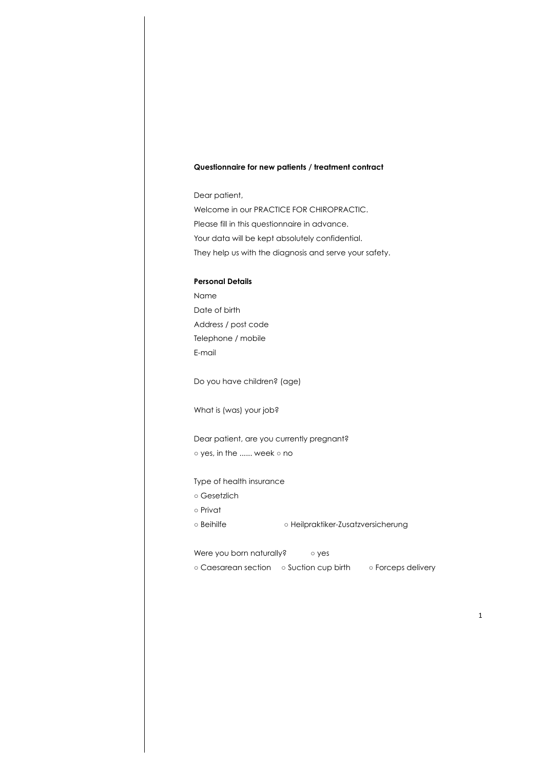## **Questionnaire for new patients / treatment contract**

Dear patient, Welcome in our PRACTICE FOR CHIROPRACTIC. Please fill in this questionnaire in advance. Your data will be kept absolutely confidential. They help us with the diagnosis and serve your safety.

#### **Personal Details**

Name Date of birth Address / post code Telephone / mobile E-mail

Do you have children? (age)

What is (was) your job?

Dear patient, are you currently pregnant?

○ yes, in the ...... week ○ no

#### Type of health insurance

- Gesetzlich
- Privat
- Beihilfe Heilpraktiker-Zusatzversicherung

#### Were you born naturally? **•••** o yes

○ Caesarean section ○ Suction cup birth ○ Forceps delivery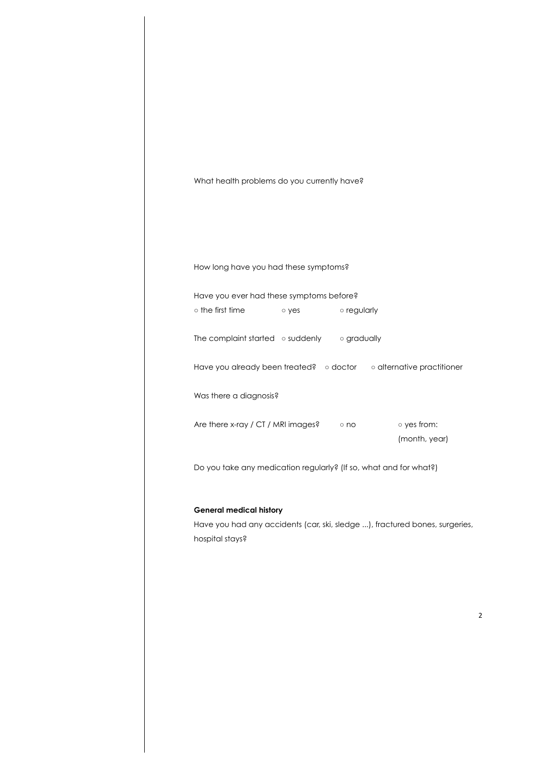| What health problems do you currently have?<br>How long have you had these symptoms?<br>Have you ever had these symptoms before?<br>o the first time<br>o regularly<br>o yes<br>The complaint started $\circ$ suddenly $\circ$ gradually<br>Have you already been treated? o doctor o alternative practitioner<br>Was there a diagnosis?<br>Are there x-ray / CT / MRI images?<br>o yes from:<br>$\circ$ no<br>(month, year)<br>Do you take any medication regularly? (If so, what and for what?)<br><b>General medical history</b><br>Have you had any accidents (car, ski, sledge ), fractured bones, surgeries, |  |  |
|--------------------------------------------------------------------------------------------------------------------------------------------------------------------------------------------------------------------------------------------------------------------------------------------------------------------------------------------------------------------------------------------------------------------------------------------------------------------------------------------------------------------------------------------------------------------------------------------------------------------|--|--|
|                                                                                                                                                                                                                                                                                                                                                                                                                                                                                                                                                                                                                    |  |  |
|                                                                                                                                                                                                                                                                                                                                                                                                                                                                                                                                                                                                                    |  |  |
|                                                                                                                                                                                                                                                                                                                                                                                                                                                                                                                                                                                                                    |  |  |
|                                                                                                                                                                                                                                                                                                                                                                                                                                                                                                                                                                                                                    |  |  |
|                                                                                                                                                                                                                                                                                                                                                                                                                                                                                                                                                                                                                    |  |  |
|                                                                                                                                                                                                                                                                                                                                                                                                                                                                                                                                                                                                                    |  |  |
|                                                                                                                                                                                                                                                                                                                                                                                                                                                                                                                                                                                                                    |  |  |
|                                                                                                                                                                                                                                                                                                                                                                                                                                                                                                                                                                                                                    |  |  |
| hospital stays?                                                                                                                                                                                                                                                                                                                                                                                                                                                                                                                                                                                                    |  |  |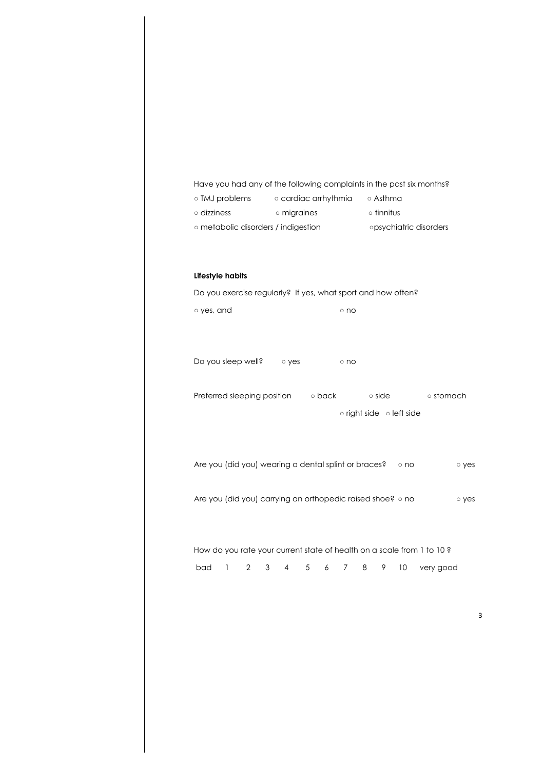Have you had any of the following complaints in the past six months?

| ○ TMJ problems                      | o cardiac arrhythmia | ⊙ Asthma               |
|-------------------------------------|----------------------|------------------------|
| $\circ$ dizziness                   | o migraines          | $\circ$ tinnitus       |
| ○ metabolic disorders / indigestion |                      | opsychiatric disorders |

# **Lifestyle habits**

Do you exercise regularly? If yes, what sport and how often? o yes, and <sup>o</sup> no Do you sleep well? 
o yes

o no Preferred sleeping position <br>
○ back booked back booked back booked back booked back booked back booked back booked back booked back booked b ○ right side ○ left side Are you (did you) wearing a dental splint or braces? ono oves Are you (did you) carrying an orthopedic raised shoe? ono oves How do you rate your current state of health on a scale from 1 to 10 ? bad 1 2 3 4 5 6 7 8 9 10 very good